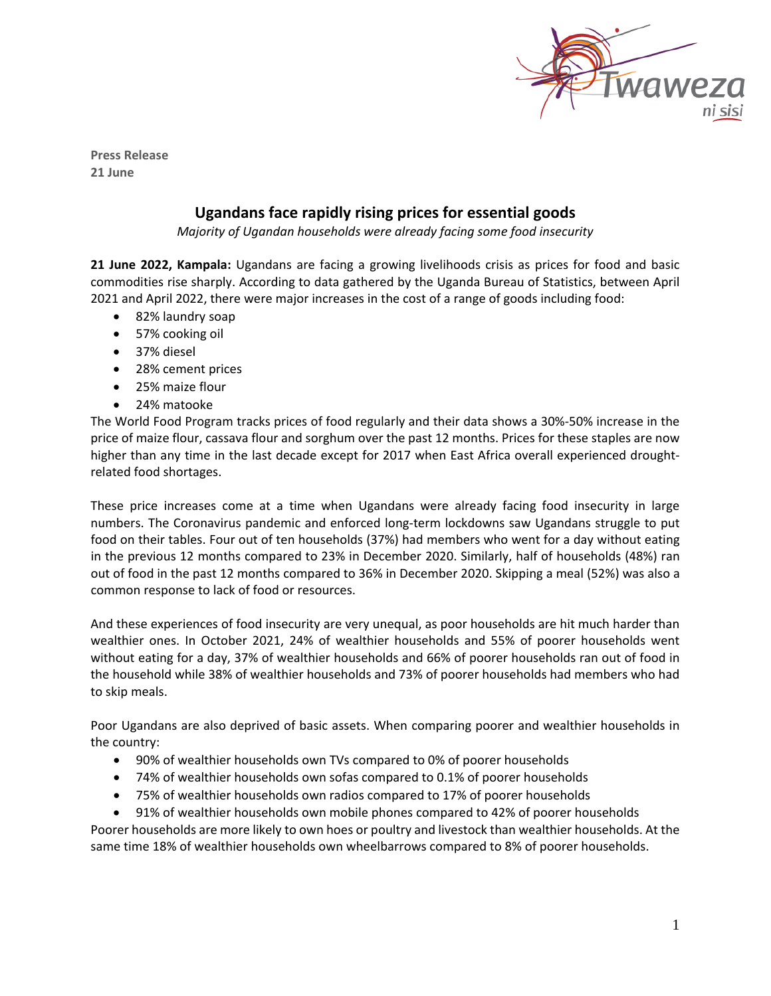

**Press Release 21 June**

## **Ugandans face rapidly rising prices for essential goods**

*Majority of Ugandan households were already facing some food insecurity*

**21 June 2022, Kampala:** Ugandans are facing a growing livelihoods crisis as prices for food and basic commodities rise sharply. According to data gathered by the Uganda Bureau of Statistics, between April 2021 and April 2022, there were major increases in the cost of a range of goods including food:

- 82% laundry soap
- 57% cooking oil
- 37% diesel
- 28% cement prices
- 25% maize flour
- 24% matooke

The World Food Program tracks prices of food regularly and their data shows a 30%-50% increase in the price of maize flour, cassava flour and sorghum over the past 12 months. Prices for these staples are now higher than any time in the last decade except for 2017 when East Africa overall experienced droughtrelated food shortages.

These price increases come at a time when Ugandans were already facing food insecurity in large numbers. The Coronavirus pandemic and enforced long-term lockdowns saw Ugandans struggle to put food on their tables. Four out of ten households (37%) had members who went for a day without eating in the previous 12 months compared to 23% in December 2020. Similarly, half of households (48%) ran out of food in the past 12 months compared to 36% in December 2020. Skipping a meal (52%) was also a common response to lack of food or resources.

And these experiences of food insecurity are very unequal, as poor households are hit much harder than wealthier ones. In October 2021, 24% of wealthier households and 55% of poorer households went without eating for a day, 37% of wealthier households and 66% of poorer households ran out of food in the household while 38% of wealthier households and 73% of poorer households had members who had to skip meals.

Poor Ugandans are also deprived of basic assets. When comparing poorer and wealthier households in the country:

- 90% of wealthier households own TVs compared to 0% of poorer households
- 74% of wealthier households own sofas compared to 0.1% of poorer households
- 75% of wealthier households own radios compared to 17% of poorer households

• 91% of wealthier households own mobile phones compared to 42% of poorer households Poorer households are more likely to own hoes or poultry and livestock than wealthier households. At the same time 18% of wealthier households own wheelbarrows compared to 8% of poorer households.